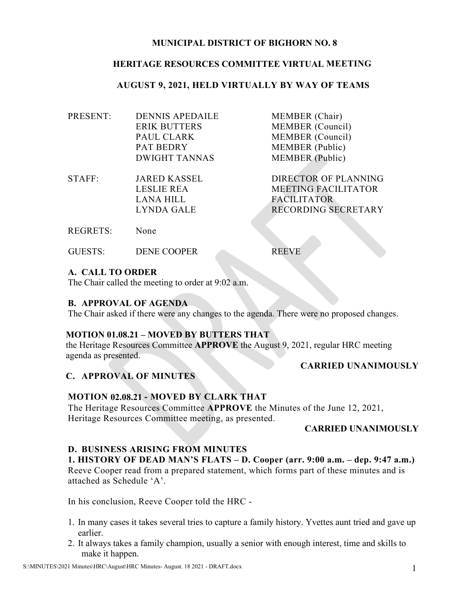### **MUNICIPAL DISTRICT OF BIGHORN NO. 8**

### **HERITAGE RESOURCES COMMITTEE VIRTUAL MEETING**

### **AUGUST 9, 2021, HELD VIRTUALLY BY WAY OF TEAMS**

| PRESENT: | <b>DENNIS APEDAILE</b> | <b>MEMBER</b> (Chair)   |
|----------|------------------------|-------------------------|
|          | <b>ERIK BUTTERS</b>    | <b>MEMBER</b> (Council) |
|          | PAUL CLARK             | <b>MEMBER</b> (Council) |
|          | <b>PAT BEDRY</b>       | <b>MEMBER</b> (Public)  |
|          | <b>DWIGHT TANNAS</b>   | <b>MEMBER</b> (Public)  |
|          |                        |                         |

- STAFF: JARED KASSEL DIRECTOR OF PLANNING LESLIE REA MEETING FACILITATOR LANA HILL FACILITATOR LYNDA GALE RECORDING SECRETARY
- REGRETS: None
- GUESTS: DENE COOPER REEVE

**A. CALL TO ORDER** 

The Chair called the meeting to order at 9:02 a.m.

#### **B. APPROVAL OF AGENDA**

The Chair asked if there were any changes to the agenda. There were no proposed changes.

### **MOTION 01.08.21 – MOVED BY BUTTERS THAT**

the Heritage Resources Committee **APPROVE** the August 9, 2021, regular HRC meeting agenda as presented.

#### **CARRIED UNANIMOUSLY**

# **C. APPROVAL OF MINUTES**

#### **MOTION 02.08.21 - MOVED BY CLARK THAT**

The Heritage Resources Committee **APPROVE** the Minutes of the June 12, 2021, Heritage Resources Committee meeting, as presented.

#### **CARRIED UNANIMOUSLY**

# **D. BUSINESS ARISING FROM MINUTES**

**1. HISTORY OF DEAD MAN'S FLATS – D. Cooper (arr. 9:00 a.m. – dep. 9:47 a.m.)** Reeve Cooper read from a prepared statement, which forms part of these minutes and is attached as Schedule 'A'.

In his conclusion, Reeve Cooper told the HRC -

- 1. In many cases it takes several tries to capture a family history. Yvettes aunt tried and gave up earlier.
- 2. It always takes a family champion, usually a senior with enough interest, time and skills to make it happen.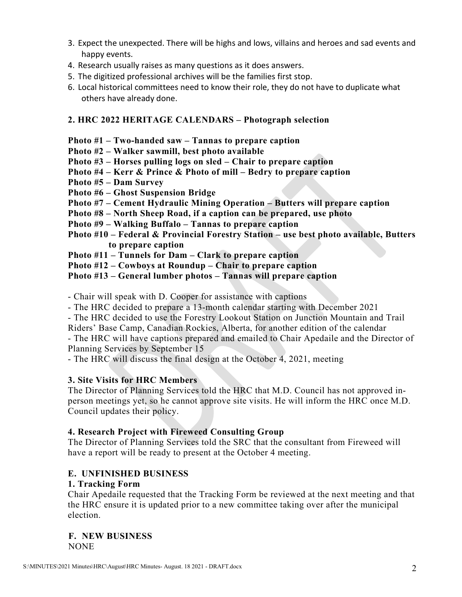- 3. Expect the unexpected. There will be highs and lows, villains and heroes and sad events and happy events.
- 4. Research usually raises as many questions as it does answers.
- 5. The digitized professional archives will be the families first stop.
- 6. Local historical committees need to know their role, they do not have to duplicate what others have already done.

# **2. HRC 2022 HERITAGE CALENDARS – Photograph selection**

**Photo #1 – Two-handed saw – Tannas to prepare caption**

- **Photo #2 – Walker sawmill, best photo available**
- **Photo #3 – Horses pulling logs on sled – Chair to prepare caption**
- **Photo #4 – Kerr & Prince & Photo of mill – Bedry to prepare caption**
- **Photo #5 – Dam Survey**
- **Photo #6 – Ghost Suspension Bridge**
- **Photo #7 – Cement Hydraulic Mining Operation – Butters will prepare caption**
- **Photo #8 – North Sheep Road, if a caption can be prepared, use photo**
- **Photo #9 – Walking Buffalo – Tannas to prepare caption**
- **Photo #10 – Federal & Provincial Forestry Station – use best photo available, Butters to prepare caption**
- **Photo #11 – Tunnels for Dam – Clark to prepare caption**
- **Photo #12 – Cowboys at Roundup – Chair to prepare caption**

### **Photo #13 – General lumber photos – Tannas will prepare caption**

- Chair will speak with D. Cooper for assistance with captions

- The HRC decided to prepare a 13-month calendar starting with December 2021
- The HRC decided to use the Forestry Lookout Station on Junction Mountain and Trail

Riders' Base Camp, Canadian Rockies, Alberta, for another edition of the calendar

- The HRC will have captions prepared and emailed to Chair Apedaile and the Director of Planning Services by September 15

- The HRC will discuss the final design at the October 4, 2021, meeting

# **3. Site Visits for HRC Members**

The Director of Planning Services told the HRC that M.D. Council has not approved inperson meetings yet, so he cannot approve site visits. He will inform the HRC once M.D. Council updates their policy.

# **4. Research Project with Fireweed Consulting Group**

The Director of Planning Services told the SRC that the consultant from Fireweed will have a report will be ready to present at the October 4 meeting.

# **E. UNFINISHED BUSINESS**

#### **1. Tracking Form**

Chair Apedaile requested that the Tracking Form be reviewed at the next meeting and that the HRC ensure it is updated prior to a new committee taking over after the municipal election.

**F. NEW BUSINESS**  NONE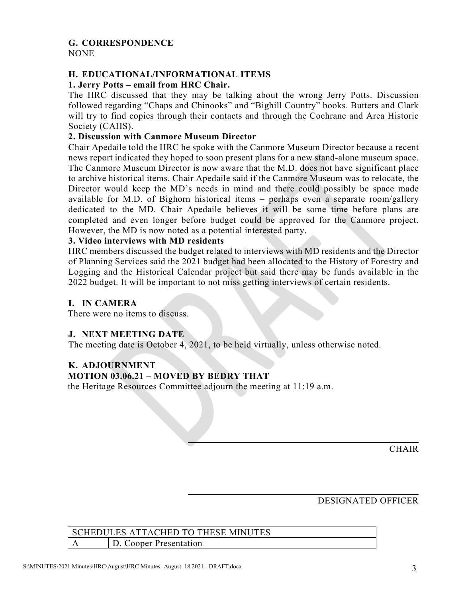# **G. CORRESPONDENCE**

NONE

# **H. EDUCATIONAL/INFORMATIONAL ITEMS**

# **1. Jerry Potts – email from HRC Chair.**

The HRC discussed that they may be talking about the wrong Jerry Potts. Discussion followed regarding "Chaps and Chinooks" and "Bighill Country" books. Butters and Clark will try to find copies through their contacts and through the Cochrane and Area Historic Society (CAHS).

# **2. Discussion with Canmore Museum Director**

Chair Apedaile told the HRC he spoke with the Canmore Museum Director because a recent news report indicated they hoped to soon present plans for a new stand-alone museum space. The Canmore Museum Director is now aware that the M.D. does not have significant place to archive historical items. Chair Apedaile said if the Canmore Museum was to relocate, the Director would keep the MD's needs in mind and there could possibly be space made available for M.D. of Bighorn historical items – perhaps even a separate room/gallery dedicated to the MD. Chair Apedaile believes it will be some time before plans are completed and even longer before budget could be approved for the Canmore project. However, the MD is now noted as a potential interested party.

# **3. Video interviews with MD residents**

HRC members discussed the budget related to interviews with MD residents and the Director of Planning Services said the 2021 budget had been allocated to the History of Forestry and Logging and the Historical Calendar project but said there may be funds available in the 2022 budget. It will be important to not miss getting interviews of certain residents.

# **I. IN CAMERA**

There were no items to discuss.

# **J. NEXT MEETING DATE**

The meeting date is October 4, 2021, to be held virtually, unless otherwise noted.

# **K. ADJOURNMENT**

# **MOTION 03.06.21 – MOVED BY BEDRY THAT**

the Heritage Resources Committee adjourn the meeting at 11:19 a.m.

**CHAIR** 

# DESIGNATED OFFICER

# SCHEDULES ATTACHED TO THESE MINUTES A D. Cooper Presentation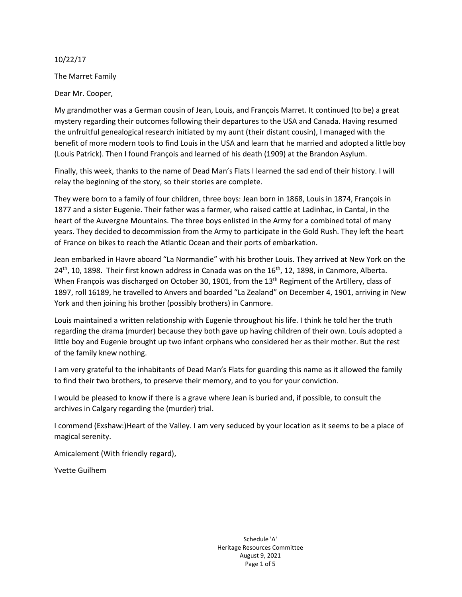10/22/17

The Marret Family

Dear Mr. Cooper,

My grandmother was a German cousin of Jean, Louis, and François Marret. It continued (to be) a great mystery regarding their outcomes following their departures to the USA and Canada. Having resumed the unfruitful genealogical research initiated by my aunt (their distant cousin), I managed with the benefit of more modern tools to find Louis in the USA and learn that he married and adopted a little boy (Louis Patrick). Then I found François and learned of his death (1909) at the Brandon Asylum.

Finally, this week, thanks to the name of Dead Man's Flats I learned the sad end of their history. I will relay the beginning of the story, so their stories are complete.

They were born to a family of four children, three boys: Jean born in 1868, Louis in 1874, François in 1877 and a sister Eugenie. Their father was a farmer, who raised cattle at Ladinhac, in Cantal, in the heart of the Auvergne Mountains. The three boys enlisted in the Army for a combined total of many years. They decided to decommission from the Army to participate in the Gold Rush. They left the heart of France on bikes to reach the Atlantic Ocean and their ports of embarkation.

Jean embarked in Havre aboard "La Normandie" with his brother Louis. They arrived at New York on the 24<sup>th</sup>, 10, 1898. Their first known address in Canada was on the 16<sup>th</sup>, 12, 1898, in Canmore, Alberta. When François was discharged on October 30, 1901, from the 13<sup>th</sup> Regiment of the Artillery, class of 1897, roll 16189, he travelled to Anvers and boarded "La Zealand" on December 4, 1901, arriving in New York and then joining his brother (possibly brothers) in Canmore.

Louis maintained a written relationship with Eugenie throughout his life. I think he told her the truth regarding the drama (murder) because they both gave up having children of their own. Louis adopted a little boy and Eugenie brought up two infant orphans who considered her as their mother. But the rest of the family knew nothing.

I am very grateful to the inhabitants of Dead Man's Flats for guarding this name as it allowed the family to find their two brothers, to preserve their memory, and to you for your conviction.

I would be pleased to know if there is a grave where Jean is buried and, if possible, to consult the archives in Calgary regarding the (murder) trial.

I commend (Exshaw:)Heart of the Valley. I am very seduced by your location as it seems to be a place of magical serenity.

Amicalement (With friendly regard),

Yvette Guilhem

Schedule 'A' Heritage Resources Committee August 9, 2021 Page 1 of 5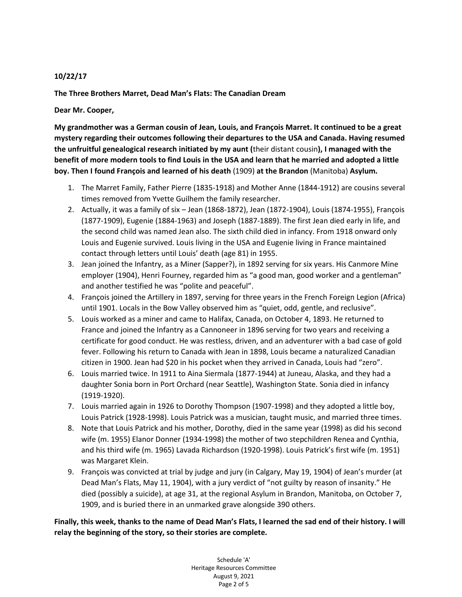#### **10/22/17**

**The Three Brothers Marret, Dead Man's Flats: The Canadian Dream**

**Dear Mr. Cooper,**

**My grandmother was a German cousin of Jean, Louis, and François Marret. It continued to be a great mystery regarding their outcomes following their departures to the USA and Canada. Having resumed the unfruitful genealogical research initiated by my aunt (**their distant cousin**), I managed with the benefit of more modern tools to find Louis in the USA and learn that he married and adopted a little boy. Then I found François and learned of his death** (1909) **at the Brandon** (Manitoba) **Asylum.**

- 1. The Marret Family, Father Pierre (1835-1918) and Mother Anne (1844-1912) are cousins several times removed from Yvette Guilhem the family researcher.
- 2. Actually, it was a family of six Jean (1868-1872), Jean (1872-1904), Louis (1874-1955), François (1877-1909), Eugenie (1884-1963) and Joseph (1887-1889). The first Jean died early in life, and the second child was named Jean also. The sixth child died in infancy. From 1918 onward only Louis and Eugenie survived. Louis living in the USA and Eugenie living in France maintained contact through letters until Louis' death (age 81) in 1955.
- 3. Jean joined the Infantry, as a Miner (Sapper?), in 1892 serving for six years. His Canmore Mine employer (1904), Henri Fourney, regarded him as "a good man, good worker and a gentleman" and another testified he was "polite and peaceful".
- 4. François joined the Artillery in 1897, serving for three years in the French Foreign Legion (Africa) until 1901. Locals in the Bow Valley observed him as "quiet, odd, gentle, and reclusive".
- 5. Louis worked as a miner and came to Halifax, Canada, on October 4, 1893. He returned to France and joined the Infantry as a Cannoneer in 1896 serving for two years and receiving a certificate for good conduct. He was restless, driven, and an adventurer with a bad case of gold fever. Following his return to Canada with Jean in 1898, Louis became a naturalized Canadian citizen in 1900. Jean had \$20 in his pocket when they arrived in Canada, Louis had "zero".
- 6. Louis married twice. In 1911 to Aina Siermala (1877-1944) at Juneau, Alaska, and they had a daughter Sonia born in Port Orchard (near Seattle), Washington State. Sonia died in infancy (1919-1920).
- 7. Louis married again in 1926 to Dorothy Thompson (1907-1998) and they adopted a little boy, Louis Patrick (1928-1998). Louis Patrick was a musician, taught music, and married three times.
- 8. Note that Louis Patrick and his mother, Dorothy, died in the same year (1998) as did his second wife (m. 1955) Elanor Donner (1934-1998) the mother of two stepchildren Renea and Cynthia, and his third wife (m. 1965) Lavada Richardson (1920-1998). Louis Patrick's first wife (m. 1951) was Margaret Klein.
- 9. François was convicted at trial by judge and jury (in Calgary, May 19, 1904) of Jean's murder (at Dead Man's Flats, May 11, 1904), with a jury verdict of "not guilty by reason of insanity." He died (possibly a suicide), at age 31, at the regional Asylum in Brandon, Manitoba, on October 7, 1909, and is buried there in an unmarked grave alongside 390 others.

**Finally, this week, thanks to the name of Dead Man's Flats, I learned the sad end of their history. I will relay the beginning of the story, so their stories are complete.**

> Schedule 'A' Heritage Resources Committee August 9, 2021 Page 2 of 5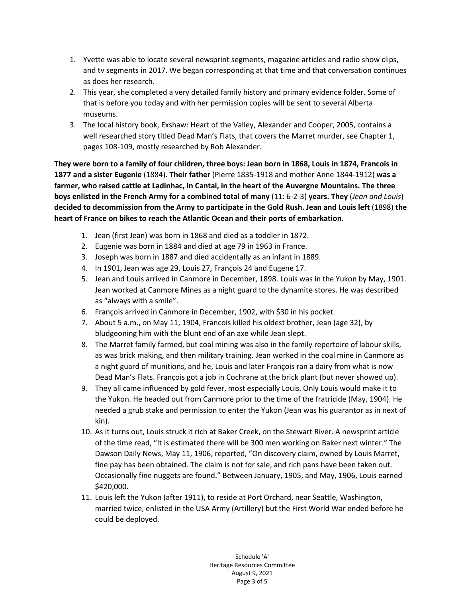- 1. Yvette was able to locate several newsprint segments, magazine articles and radio show clips, and tv segments in 2017. We began corresponding at that time and that conversation continues as does her research.
- 2. This year, she completed a very detailed family history and primary evidence folder. Some of that is before you today and with her permission copies will be sent to several Alberta museums.
- 3. The local history book, Exshaw: Heart of the Valley, Alexander and Cooper, 2005, contains a well researched story titled Dead Man's Flats, that covers the Marret murder, see Chapter 1, pages 108-109, mostly researched by Rob Alexander.

**They were born to a family of four children, three boys: Jean born in 1868, Louis in 1874, Francois in 1877 and a sister Eugenie** (1884)**. Their father** (Pierre 1835-1918 and mother Anne 1844-1912) **was a farmer, who raised cattle at Ladinhac, in Cantal, in the heart of the Auvergne Mountains. The three boys enlisted in the French Army for a combined total of many** (11: 6-2-3) **years. They** (*Jean and Louis*) **decided to decommission from the Army to participate in the Gold Rush. Jean and Louis left** (1898) **the heart of France on bikes to reach the Atlantic Ocean and their ports of embarkation.**

- 1. Jean (first Jean) was born in 1868 and died as a toddler in 1872.
- 2. Eugenie was born in 1884 and died at age 79 in 1963 in France.
- 3. Joseph was born in 1887 and died accidentally as an infant in 1889.
- 4. In 1901, Jean was age 29, Louis 27, François 24 and Eugene 17.
- 5. Jean and Louis arrived in Canmore in December, 1898. Louis was in the Yukon by May, 1901. Jean worked at Canmore Mines as a night guard to the dynamite stores. He was described as "always with a smile".
- 6. François arrived in Canmore in December, 1902, with \$30 in his pocket.
- 7. About 5 a.m., on May 11, 1904, Francois killed his oldest brother, Jean (age 32), by bludgeoning him with the blunt end of an axe while Jean slept.
- 8. The Marret family farmed, but coal mining was also in the family repertoire of labour skills, as was brick making, and then military training. Jean worked in the coal mine in Canmore as a night guard of munitions, and he, Louis and later François ran a dairy from what is now Dead Man's Flats. François got a job in Cochrane at the brick plant (but never showed up).
- 9. They all came influenced by gold fever, most especially Louis. Only Louis would make it to the Yukon. He headed out from Canmore prior to the time of the fratricide (May, 1904). He needed a grub stake and permission to enter the Yukon (Jean was his guarantor as in next of kin).
- 10. As it turns out, Louis struck it rich at Baker Creek, on the Stewart River. A newsprint article of the time read, "It is estimated there will be 300 men working on Baker next winter." The Dawson Daily News, May 11, 1906, reported, "On discovery claim, owned by Louis Marret, fine pay has been obtained. The claim is not for sale, and rich pans have been taken out. Occasionally fine nuggets are found." Between January, 1905, and May, 1906, Louis earned \$420,000.
- 11. Louis left the Yukon (after 1911), to reside at Port Orchard, near Seattle, Washington, married twice, enlisted in the USA Army (Artillery) but the First World War ended before he could be deployed.

Schedule 'A' Heritage Resources Committee August 9, 2021 Page 3 of 5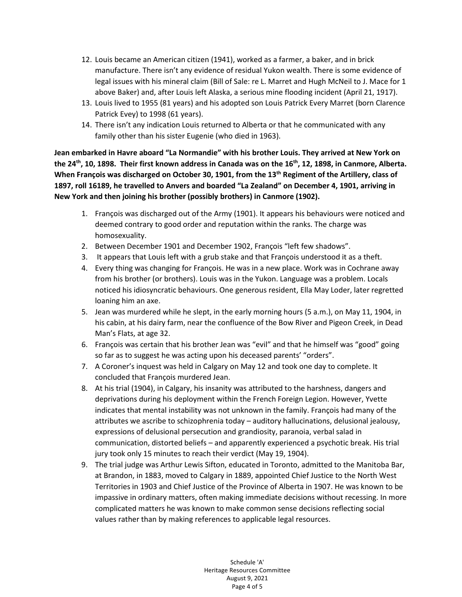- 12. Louis became an American citizen (1941), worked as a farmer, a baker, and in brick manufacture. There isn't any evidence of residual Yukon wealth. There is some evidence of legal issues with his mineral claim (Bill of Sale: re L. Marret and Hugh McNeil to J. Mace for 1 above Baker) and, after Louis left Alaska, a serious mine flooding incident (April 21, 1917).
- 13. Louis lived to 1955 (81 years) and his adopted son Louis Patrick Every Marret (born Clarence Patrick Evey) to 1998 (61 years).
- 14. There isn't any indication Louis returned to Alberta or that he communicated with any family other than his sister Eugenie (who died in 1963).

**Jean embarked in Havre aboard "La Normandie" with his brother Louis. They arrived at New York on**  the 24<sup>th</sup>, 10, 1898. Their first known address in Canada was on the 16<sup>th</sup>, 12, 1898, in Canmore, Alberta. **When François was discharged on October 30, 1901, from the 13th Regiment of the Artillery, class of 1897, roll 16189, he travelled to Anvers and boarded "La Zealand" on December 4, 1901, arriving in New York and then joining his brother (possibly brothers) in Canmore (1902).**

- 1. François was discharged out of the Army (1901). It appears his behaviours were noticed and deemed contrary to good order and reputation within the ranks. The charge was homosexuality.
- 2. Between December 1901 and December 1902, François "left few shadows".
- 3. It appears that Louis left with a grub stake and that François understood it as a theft.
- 4. Every thing was changing for François. He was in a new place. Work was in Cochrane away from his brother (or brothers). Louis was in the Yukon. Language was a problem. Locals noticed his idiosyncratic behaviours. One generous resident, Ella May Loder, later regretted loaning him an axe.
- 5. Jean was murdered while he slept, in the early morning hours (5 a.m.), on May 11, 1904, in his cabin, at his dairy farm, near the confluence of the Bow River and Pigeon Creek, in Dead Man's Flats, at age 32.
- 6. François was certain that his brother Jean was "evil" and that he himself was "good" going so far as to suggest he was acting upon his deceased parents' "orders".
- 7. A Coroner's inquest was held in Calgary on May 12 and took one day to complete. It concluded that François murdered Jean.
- 8. At his trial (1904), in Calgary, his insanity was attributed to the harshness, dangers and deprivations during his deployment within the French Foreign Legion. However, Yvette indicates that mental instability was not unknown in the family. François had many of the attributes we ascribe to schizophrenia today – auditory hallucinations, delusional jealousy, expressions of delusional persecution and grandiosity, paranoia, verbal salad in communication, distorted beliefs – and apparently experienced a psychotic break. His trial jury took only 15 minutes to reach their verdict (May 19, 1904).
- 9. The trial judge was Arthur Lewis Sifton, educated in Toronto, admitted to the Manitoba Bar, at Brandon, in 1883, moved to Calgary in 1889, appointed Chief Justice to the North West Territories in 1903 and Chief Justice of the Province of Alberta in 1907. He was known to be impassive in ordinary matters, often making immediate decisions without recessing. In more complicated matters he was known to make common sense decisions reflecting social values rather than by making references to applicable legal resources.

Schedule 'A' Heritage Resources Committee August 9, 2021 Page 4 of 5